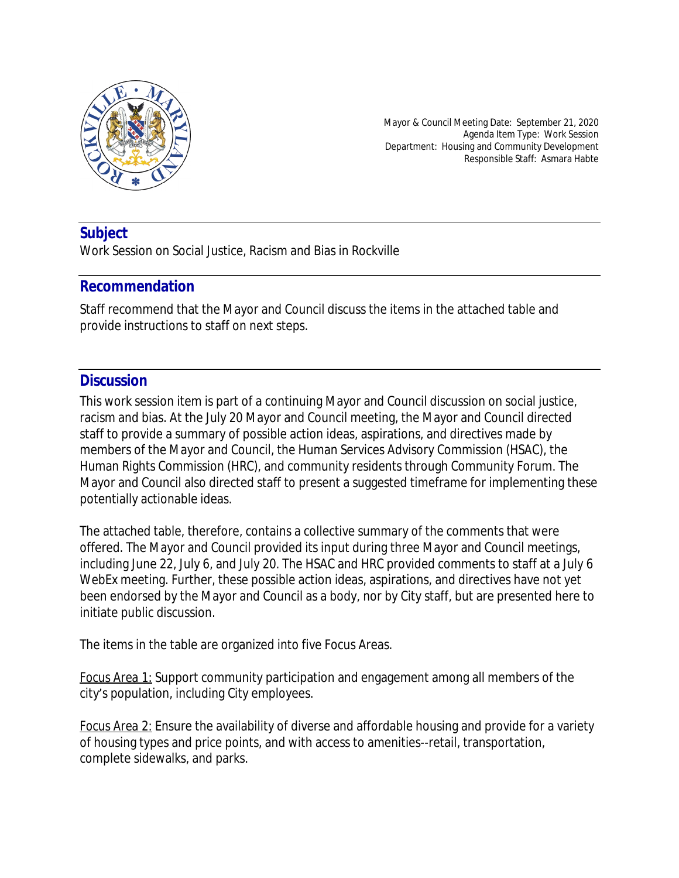

Mayor & Council Meeting Date: September 21, 2020 Agenda Item Type: Work Session Department: Housing and Community Development Responsible Staff: Asmara Habte

### **Subject**

Work Session on Social Justice, Racism and Bias in Rockville

#### **Recommendation**

Staff recommend that the Mayor and Council discuss the items in the attached table and provide instructions to staff on next steps.

### **Discussion**

This work session item is part of a continuing Mayor and Council discussion on social justice, racism and bias. At the July 20 Mayor and Council meeting, the Mayor and Council directed staff to provide a summary of possible action ideas, aspirations, and directives made by members of the Mayor and Council, the Human Services Advisory Commission (HSAC), the Human Rights Commission (HRC), and community residents through Community Forum. The Mayor and Council also directed staff to present a suggested timeframe for implementing these potentially actionable ideas.

The attached table, therefore, contains a collective summary of the comments that were offered. The Mayor and Council provided its input during three Mayor and Council meetings, including June 22, July 6, and July 20. The HSAC and HRC provided comments to staff at a July 6 WebEx meeting. Further, these possible action ideas, aspirations, and directives have not yet been endorsed by the Mayor and Council as a body, nor by City staff, but are presented here to initiate public discussion.

The items in the table are organized into five Focus Areas.

*Focus Area 1:* Support community participation and engagement among all members of the city's population, including City employees.

*Focus Area 2:* Ensure the availability of diverse and affordable housing and provide for a variety of housing types and price points, and with access to amenities--retail, transportation, complete sidewalks, and parks.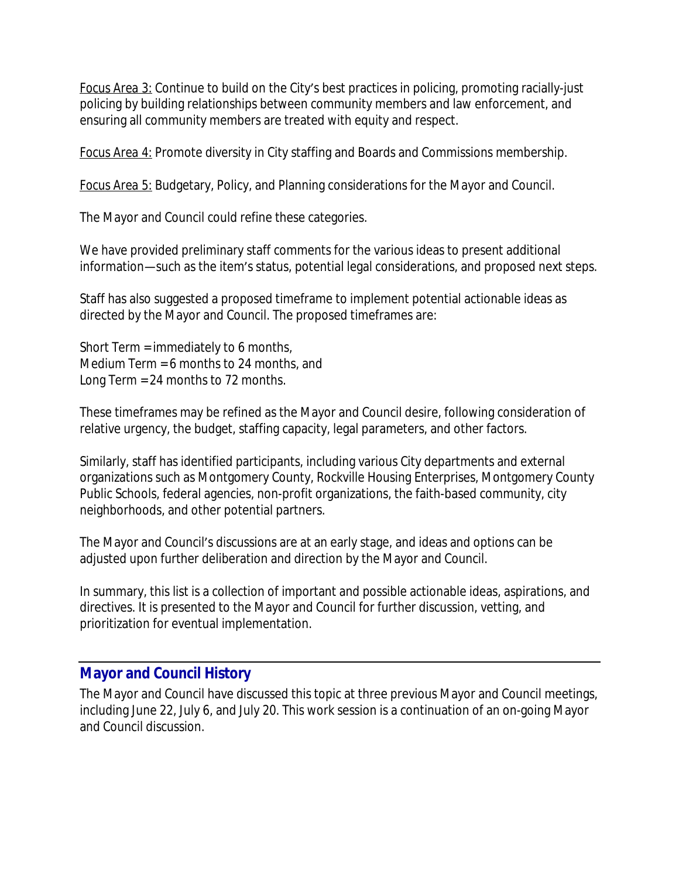*Focus Area 3:* Continue to build on the City's best practices in policing, promoting racially-just policing by building relationships between community members and law enforcement, and ensuring all community members are treated with equity and respect.

*Focus Area 4:* Promote diversity in City staffing and Boards and Commissions membership.

*Focus Area 5:* Budgetary, Policy, and Planning considerations for the Mayor and Council.

The Mayor and Council could refine these categories.

We have provided preliminary staff comments for the various ideas to present additional information—such as the item's status, potential legal considerations, and proposed next steps.

Staff has also suggested a proposed timeframe to implement potential actionable ideas as directed by the Mayor and Council. The proposed timeframes are:

Short Term = immediately to 6 months, Medium Term = 6 months to 24 months, and Long Term = 24 months to 72 months.

These timeframes may be refined as the Mayor and Council desire, following consideration of relative urgency, the budget, staffing capacity, legal parameters, and other factors.

Similarly, staff has identified participants, including various City departments and external organizations such as Montgomery County, Rockville Housing Enterprises, Montgomery County Public Schools, federal agencies, non-profit organizations, the faith-based community, city neighborhoods, and other potential partners.

The Mayor and Council's discussions are at an early stage, and ideas and options can be adjusted upon further deliberation and direction by the Mayor and Council.

In summary, this list is a collection of important and possible actionable ideas, aspirations, and directives. It is presented to the Mayor and Council for further discussion, vetting, and prioritization for eventual implementation.

### **Mayor and Council History**

The Mayor and Council have discussed this topic at three previous Mayor and Council meetings, including June 22, July 6, and July 20. This work session is a continuation of an on-going Mayor and Council discussion.